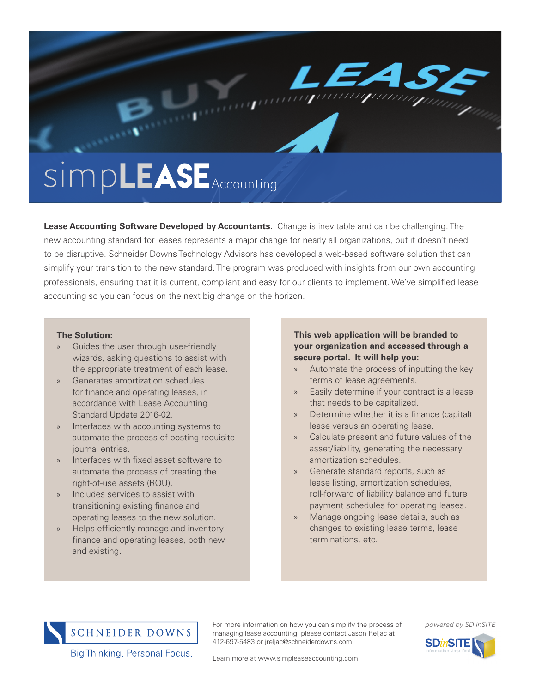

**Lease Accounting Software Developed by Accountants.** Change is inevitable and can be challenging. The new accounting standard for leases represents a major change for nearly all organizations, but it doesn't need to be disruptive. Schneider Downs Technology Advisors has developed a web-based software solution that can simplify your transition to the new standard. The program was produced with insights from our own accounting professionals, ensuring that it is current, compliant and easy for our clients to implement. We've simplified lease accounting so you can focus on the next big change on the horizon.

# **The Solution:**

- Guides the user through user-friendly wizards, asking questions to assist with the appropriate treatment of each lease.
- » Generates amortization schedules for finance and operating leases, in accordance with Lease Accounting Standard Update 2016-02.
- Interfaces with accounting systems to automate the process of posting requisite journal entries.
- » Interfaces with fixed asset software to automate the process of creating the right-of-use assets (ROU).
- Includes services to assist with transitioning existing finance and operating leases to the new solution.
- » Helps efficiently manage and inventory finance and operating leases, both new and existing.

# **This web application will be branded to your organization and accessed through a secure portal. It will help you:**

- » Automate the process of inputting the key terms of lease agreements.
- Easily determine if your contract is a lease that needs to be capitalized.
- » Determine whether it is a finance (capital) lease versus an operating lease.
- » Calculate present and future values of the asset/liability, generating the necessary amortization schedules.
- » Generate standard reports, such as lease listing, amortization schedules, roll-forward of liability balance and future payment schedules for operating leases.
- » Manage ongoing lease details, such as changes to existing lease terms, lease terminations, etc.



Big Thinking. Personal Focus.

For more information on how you can simplify the process of managing lease accounting, please contact Jason Reljac at 412-697-5483 or jreljac@schneiderdowns.com.

# *powered by SD inSITE*



Learn more at www.simpleaseaccounting.com.